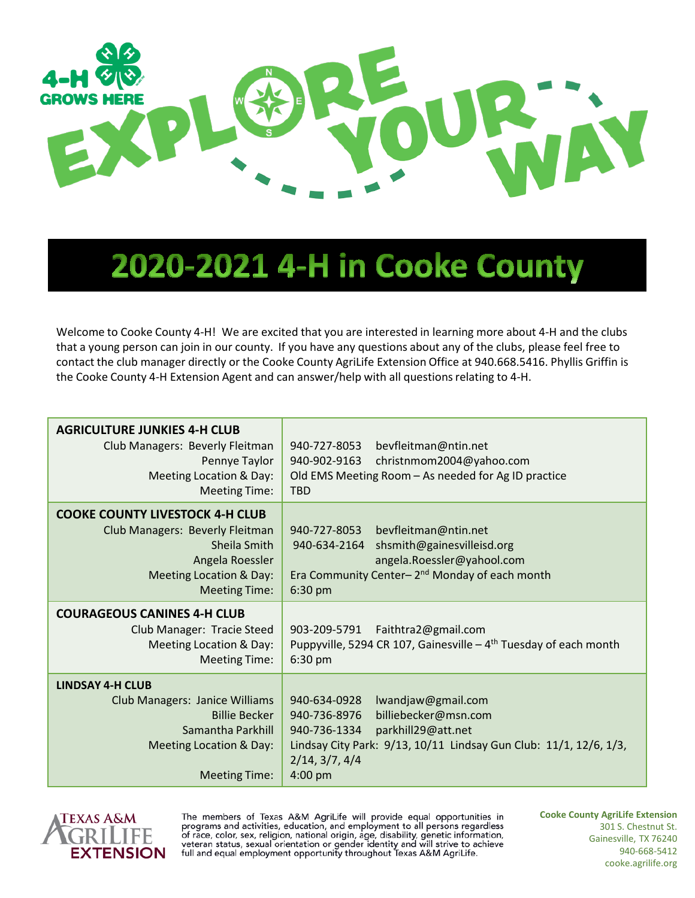

## 2020-2021 4-H in Cooke County

Welcome to Cooke County 4-H! We are excited that you are interested in learning more about 4-H and the clubs that a young person can join in our county. If you have any questions about any of the clubs, please feel free to contact the club manager directly or the Cooke County AgriLife Extension Office at 940.668.5416. Phyllis Griffin is the Cooke County 4-H Extension Agent and can answer/help with all questions relating to 4-H.

| <b>AGRICULTURE JUNKIES 4-H CLUB</b><br>Club Managers: Beverly Fleitman<br>Pennye Taylor<br>Meeting Location & Day:<br>Meeting Time:                                        | 940-727-8053<br>bevfleitman@ntin.net<br>940-902-9163<br>christnmom2004@yahoo.com<br>Old EMS Meeting Room - As needed for Ag ID practice<br><b>TBD</b>                                                              |
|----------------------------------------------------------------------------------------------------------------------------------------------------------------------------|--------------------------------------------------------------------------------------------------------------------------------------------------------------------------------------------------------------------|
| <b>COOKE COUNTY LIVESTOCK 4-H CLUB</b><br>Club Managers: Beverly Fleitman<br>Sheila Smith<br>Angela Roessler<br><b>Meeting Location &amp; Day:</b><br><b>Meeting Time:</b> | 940-727-8053<br>bevfleitman@ntin.net<br>940-634-2164<br>shsmith@gainesvilleisd.org<br>angela.Roessler@yahool.com<br>Era Community Center-2 <sup>nd</sup> Monday of each month<br>6:30 pm                           |
| <b>COURAGEOUS CANINES 4-H CLUB</b><br>Club Manager: Tracie Steed<br><b>Meeting Location &amp; Day:</b><br>Meeting Time:                                                    | 903-209-5791<br>Faithtra2@gmail.com<br>Puppyville, 5294 CR 107, Gainesville $-4$ <sup>th</sup> Tuesday of each month<br>6:30 pm                                                                                    |
| <b>LINDSAY 4-H CLUB</b><br>Club Managers: Janice Williams<br><b>Billie Becker</b><br>Samantha Parkhill<br>Meeting Location & Day:<br><b>Meeting Time:</b>                  | 940-634-0928<br>lwandjaw@gmail.com<br>940-736-8976<br>billiebecker@msn.com<br>940-736-1334<br>parkhill29@att.net<br>Lindsay City Park: 9/13, 10/11 Lindsay Gun Club: 11/1, 12/6, 1/3,<br>2/14, 3/7, 4/4<br>4:00 pm |



The members of Texas A&M AgriLife will provide equal opportunities in programs and activities, education, and employment to all persons regardless presence color, sex, religion, national origin, age, disability, genetic information,<br>veteran status, sexual orientation or gender identity and will strive to achieve<br>full and equal employment opportunity throughout Texas **Cooke County AgriLife Extension** 301 S. Chestnut St. Gainesville, TX 76240 940-668-5412 cooke.agrilife.org